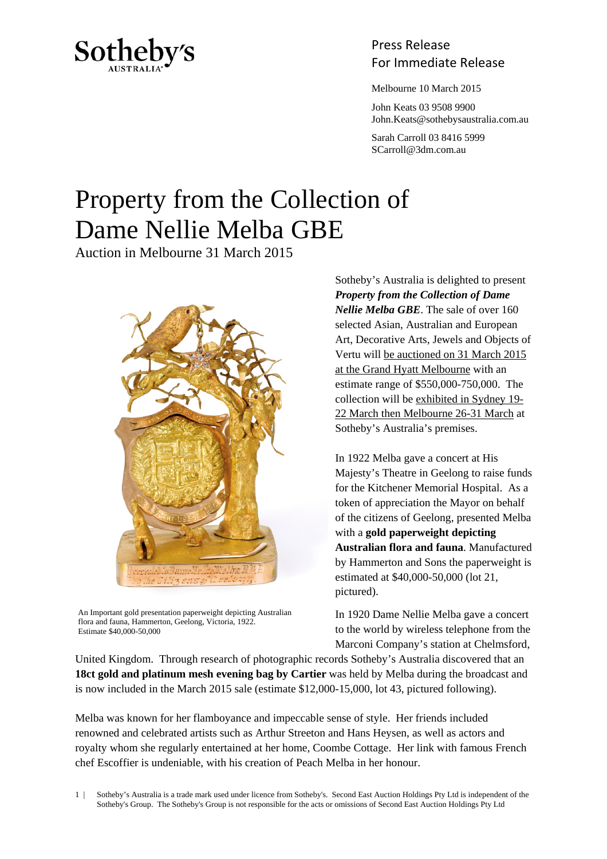

## Press Release Sotheby's<br>For Immediate Release

Melbourne 10 March 2015

 John Keats 03 9508 9900 John.Keats@sothebysaustralia.com.au

 Sarah Carroll 03 8416 5999 SCarroll@3dm.com.au

## Property from the Collection of Dame Nellie Melba GBE

Auction in Melbourne 31 March 2015



An Important gold presentation paperweight depicting Australian flora and fauna, Hammerton, Geelong, Victoria, 1922. Estimate \$40,000-50,000

Sotheby's Australia is delighted to present *Property from the Collection of Dame Nellie Melba GBE*. The sale of over 160 selected Asian, Australian and European Art, Decorative Arts, Jewels and Objects of Vertu will be auctioned on 31 March 2015 at the Grand Hyatt Melbourne with an estimate range of \$550,000-750,000. The collection will be exhibited in Sydney 19- 22 March then Melbourne 26-31 March at Sotheby's Australia's premises.

In 1922 Melba gave a concert at His Majesty's Theatre in Geelong to raise funds for the Kitchener Memorial Hospital. As a token of appreciation the Mayor on behalf of the citizens of Geelong, presented Melba with a **gold paperweight depicting Australian flora and fauna**. Manufactured by Hammerton and Sons the paperweight is estimated at \$40,000-50,000 (lot 21, pictured).

In 1920 Dame Nellie Melba gave a concert to the world by wireless telephone from the Marconi Company's station at Chelmsford,

United Kingdom. Through research of photographic records Sotheby's Australia discovered that an **18ct gold and platinum mesh evening bag by Cartier** was held by Melba during the broadcast and is now included in the March 2015 sale (estimate \$12,000-15,000, lot 43, pictured following).

Melba was known for her flamboyance and impeccable sense of style. Her friends included renowned and celebrated artists such as Arthur Streeton and Hans Heysen, as well as actors and royalty whom she regularly entertained at her home, Coombe Cottage. Her link with famous French chef Escoffier is undeniable, with his creation of Peach Melba in her honour.

1 | Sotheby's Australia is a trade mark used under licence from Sotheby's. Second East Auction Holdings Pty Ltd is independent of the Sotheby's Group. The Sotheby's Group is not responsible for the acts or omissions of Second East Auction Holdings Pty Ltd